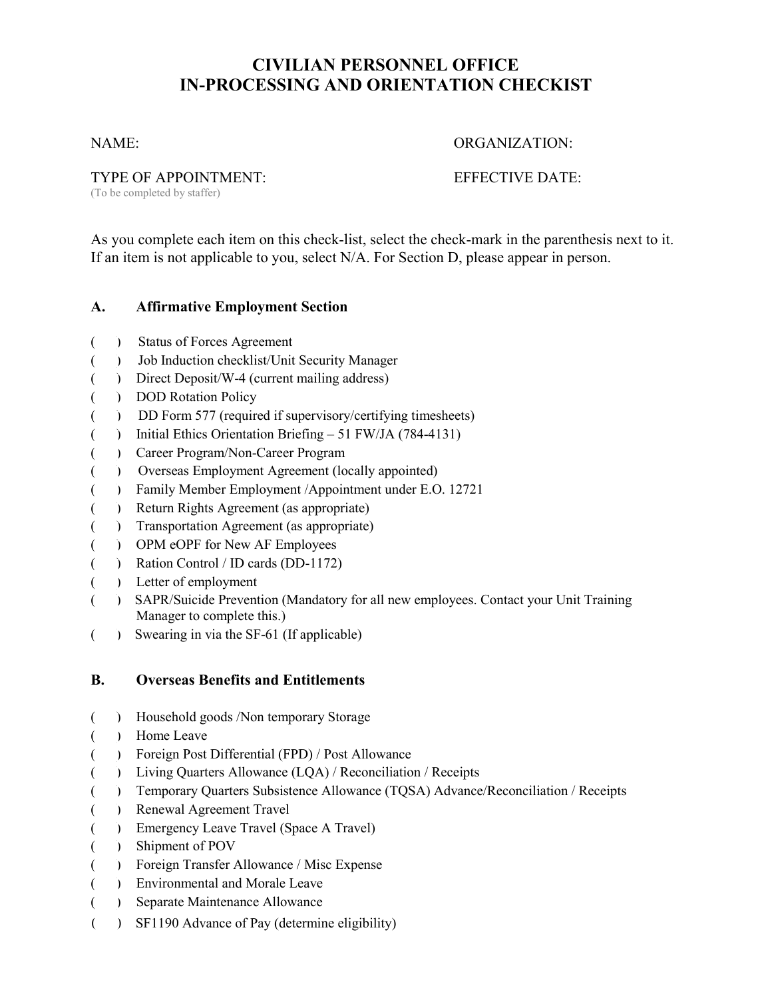# **CIVILIAN PERSONNEL OFFICE IN-PROCESSING AND ORIENTATION CHECKIST**

#### NAME: ORGANIZATION:

TYPE OF APPOINTMENT: EFFECTIVE DATE:

(To be completed by staffer)

As you complete each item on this check-list, select the check-mark in the parenthesis next to it. If an item is not applicable to you, select N/A. For Section D, please appear in person.

# **A. Affirmative Employment Section**

- ( ) Status of Forces Agreement
- ( ) Job Induction checklist/Unit Security Manager
- ( ) Direct Deposit/W-4 (current mailing address)
- ( ) DOD Rotation Policy
- ( ) DD Form 577 (required if supervisory/certifying timesheets)
- ( ) Initial Ethics Orientation Briefing 51 FW/JA (784-4131)
- ( ) Career Program/Non-Career Program
- ( ) Overseas Employment Agreement (locally appointed)
- ( ) Family Member Employment /Appointment under E.O. 12721
- ( ) Return Rights Agreement (as appropriate)
- ( ) Transportation Agreement (as appropriate)
- ( ) OPM eOPF for New AF Employees
- ( ) Ration Control / ID cards (DD-1172)
- ( ) Letter of employment
- ( ) SAPR/Suicide Prevention (Mandatory for all new employees. Contact your Unit Training Manager to complete this.)
- ( ) Swearing in via the SF-61 (If applicable)

# **B. Overseas Benefits and Entitlements**

- ( ) Household goods /Non temporary Storage
- ( ) Home Leave
- ( ) Foreign Post Differential (FPD) / Post Allowance
- ( ) Living Quarters Allowance (LQA) / Reconciliation / Receipts
- ( ) Temporary Quarters Subsistence Allowance (TQSA) Advance/Reconciliation / Receipts
- ( ) Renewal Agreement Travel
- ( ) Emergency Leave Travel (Space A Travel)
- ( ) Shipment of POV
- ( ) Foreign Transfer Allowance / Misc Expense
- ( ) Environmental and Morale Leave
- ( ) Separate Maintenance Allowance
- ( ) SF1190 Advance of Pay (determine eligibility)